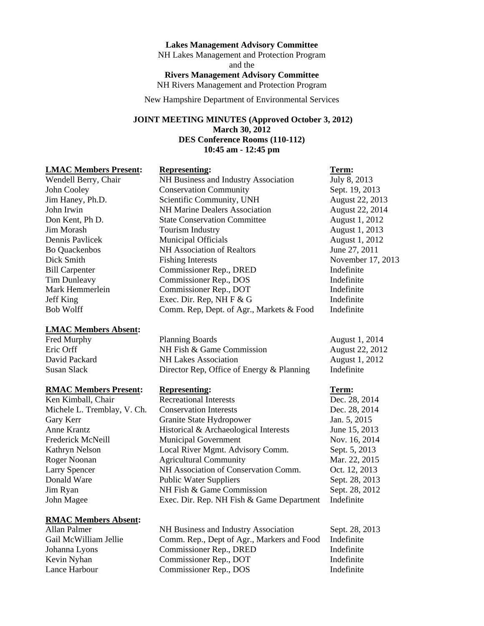#### **Lakes Management Advisory Committee**

NH Lakes Management and Protection Program and the **Rivers Management Advisory Committee**  NH Rivers Management and Protection Program

New Hampshire Department of Environmental Services

## **JOINT MEETING MINUTES (Approved October 3, 2012) March 30, 2012 DES Conference Rooms (110-112) 10:45 am - 12:45 pm**

#### **LMAC Members Present: Representing: Term:**

#### **LMAC Members Absent:**

#### **RMAC Members Present: Representing: Term:**

#### **RMAC Members Absent:**

## Wendell Berry, Chair **NH Business and Industry Association** July 8, 2013 John Cooley Conservation Community Sept. 19, 2013 Jim Haney, Ph.D. Scientific Community, UNH August 22, 2013 John Irwin NH Marine Dealers Association August 22, 2014 Don Kent, Ph D. State Conservation Committee August 1, 2012 Jim Morash Tourism Industry August 1, 2013 Dennis Pavlicek Municipal Officials August 1, 2012 Bo Quackenbos NH Association of Realtors June 27, 2011 Dick Smith Fishing Interests November 17, 2013 Bill Carpenter Commissioner Rep., DRED Indefinite Tim Dunleavy Commissioner Rep., DOS Indefinite Mark Hemmerlein Commissioner Rep., DOT Indefinite Jeff King Exec. Dir. Rep, NH F & G Indefinite Bob Wolff Comm. Rep, Dept. of Agr., Markets & Food Indefinite

Fred Murphy **Planning Boards** August 1, 2014 Eric Orff NH Fish & Game Commission August 22, 2012 David Packard NH Lakes Association August 1, 2012 Susan Slack Director Rep, Office of Energy & Planning Indefinite

| Ken Kimball, Chair          | <b>Recreational Interests</b>             | Dec. 28, 2014  |
|-----------------------------|-------------------------------------------|----------------|
| Michele L. Tremblay, V. Ch. | <b>Conservation Interests</b>             | Dec. 28, 2014  |
| Gary Kerr                   | Granite State Hydropower                  | Jan. 5, 2015   |
| Anne Krantz                 | Historical & Archaeological Interests     | June 15, 2013  |
| Frederick McNeill           | <b>Municipal Government</b>               | Nov. 16, 2014  |
| Kathryn Nelson              | Local River Mgmt. Advisory Comm.          | Sept. 5, 2013  |
| Roger Noonan                | <b>Agricultural Community</b>             | Mar. 22, 2015  |
| <b>Larry Spencer</b>        | NH Association of Conservation Comm.      | Oct. 12, 2013  |
| Donald Ware                 | <b>Public Water Suppliers</b>             | Sept. 28, 2013 |
| Jim Ryan                    | NH Fish & Game Commission                 | Sept. 28, 2012 |
| John Magee                  | Exec. Dir. Rep. NH Fish & Game Department | Indefinite     |

| Allan Palmer          | NH Business and Industry Association                  | Sept. 28, 2013 |
|-----------------------|-------------------------------------------------------|----------------|
| Gail McWilliam Jellie | Comm. Rep., Dept of Agr., Markers and Food Indefinite |                |
| Johanna Lyons         | Commissioner Rep., DRED                               | Indefinite     |
| Kevin Nyhan           | Commissioner Rep., DOT                                | Indefinite     |
| Lance Harbour         | Commissioner Rep., DOS                                | Indefinite     |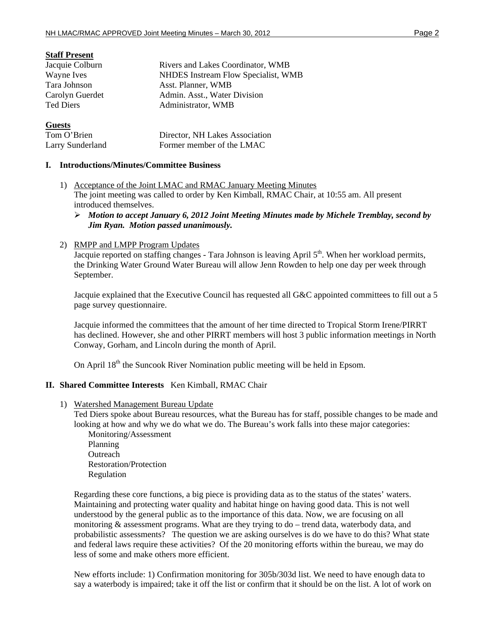## **Staff Present**

| Jacquie Colburn  | Rivers and Lakes Coordinator, WMB   |
|------------------|-------------------------------------|
| Wayne Ives       | NHDES Instream Flow Specialist, WMB |
| Tara Johnson     | Asst. Planner, WMB                  |
| Carolyn Guerdet  | Admin. Asst., Water Division        |
| <b>Ted Diers</b> | Administrator, WMB                  |
| <b>Guests</b>    |                                     |

| Tom O'Brien      | Director, NH Lakes Association |
|------------------|--------------------------------|
| Larry Sunderland | Former member of the LMAC      |

#### **I. Introductions/Minutes/Committee Business**

- 1) Acceptance of the Joint LMAC and RMAC January Meeting Minutes The joint meeting was called to order by Ken Kimball, RMAC Chair, at 10:55 am. All present introduced themselves.
	- ¾ *Motion to accept January 6, 2012 Joint Meeting Minutes made by Michele Tremblay, second by Jim Ryan. Motion passed unanimously.*

## 2) RMPP and LMPP Program Updates

Jacquie reported on staffing changes - Tara Johnson is leaving April 5<sup>th</sup>. When her workload permits, the Drinking Water Ground Water Bureau will allow Jenn Rowden to help one day per week through September.

Jacquie explained that the Executive Council has requested all G&C appointed committees to fill out a 5 page survey questionnaire.

Jacquie informed the committees that the amount of her time directed to Tropical Storm Irene/PIRRT has declined. However, she and other PIRRT members will host 3 public information meetings in North Conway, Gorham, and Lincoln during the month of April.

On April  $18<sup>th</sup>$  the Suncook River Nomination public meeting will be held in Epsom.

## **II. Shared Committee Interests** Ken Kimball, RMAC Chair

1) Watershed Management Bureau Update

Ted Diers spoke about Bureau resources, what the Bureau has for staff, possible changes to be made and looking at how and why we do what we do. The Bureau's work falls into these major categories:

Monitoring/Assessment Planning **Outreach** Restoration/Protection Regulation

Regarding these core functions, a big piece is providing data as to the status of the states' waters. Maintaining and protecting water quality and habitat hinge on having good data. This is not well understood by the general public as to the importance of this data. Now, we are focusing on all monitoring & assessment programs. What are they trying to do – trend data, waterbody data, and probabilistic assessments? The question we are asking ourselves is do we have to do this? What state and federal laws require these activities? Of the 20 monitoring efforts within the bureau, we may do less of some and make others more efficient.

New efforts include: 1) Confirmation monitoring for 305b/303d list. We need to have enough data to say a waterbody is impaired; take it off the list or confirm that it should be on the list. A lot of work on